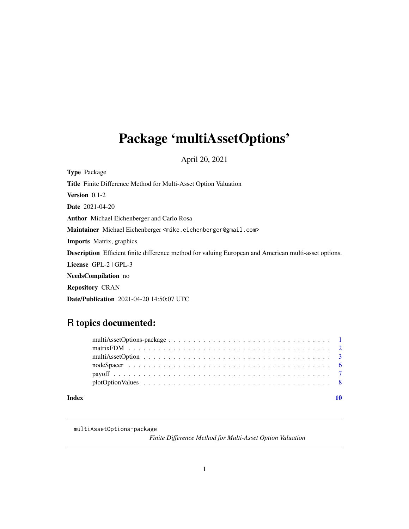## <span id="page-0-0"></span>Package 'multiAssetOptions'

April 20, 2021

Type Package Title Finite Difference Method for Multi-Asset Option Valuation Version 0.1-2 Date 2021-04-20 Author Michael Eichenberger and Carlo Rosa Maintainer Michael Eichenberger <mike.eichenberger@gmail.com> Imports Matrix, graphics Description Efficient finite difference method for valuing European and American multi-asset options. License GPL-2 | GPL-3 NeedsCompilation no Repository CRAN Date/Publication 2021-04-20 14:50:07 UTC

### R topics documented:

| Index |  |
|-------|--|
|       |  |
|       |  |
|       |  |
|       |  |
|       |  |
|       |  |

multiAssetOptions-package

*Finite Difference Method for Multi-Asset Option Valuation*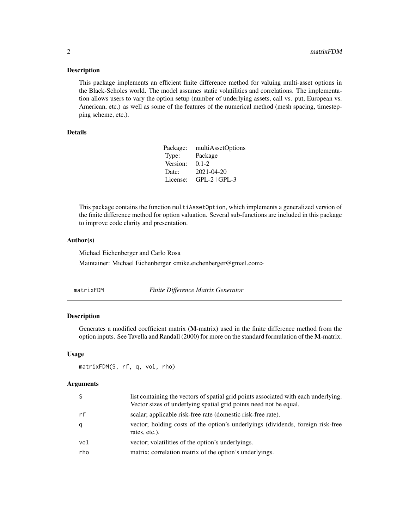#### <span id="page-1-0"></span>Description

This package implements an efficient finite difference method for valuing multi-asset options in the Black-Scholes world. The model assumes static volatilities and correlations. The implementation allows users to vary the option setup (number of underlying assets, call vs. put, European vs. American, etc.) as well as some of the features of the numerical method (mesh spacing, timestepping scheme, etc.).

### Details

| Package: | multiAssetOptions |
|----------|-------------------|
| Type:    | Package           |
| Version: | $0.1 - 2.$        |
| Date:    | 2021-04-20        |
| License: | $GPL-2$ $GPL-3$   |

This package contains the function multiAssetOption, which implements a generalized version of the finite difference method for option valuation. Several sub-functions are included in this package to improve code clarity and presentation.

#### Author(s)

Michael Eichenberger and Carlo Rosa

Maintainer: Michael Eichenberger <mike.eichenberger@gmail.com>

| Finite Difference Matrix Generator<br>matrixFDM |  |
|-------------------------------------------------|--|
|-------------------------------------------------|--|

### Description

Generates a modified coefficient matrix (M-matrix) used in the finite difference method from the option inputs. See Tavella and Randall (2000) for more on the standard formulation of the M-matrix.

#### Usage

matrixFDM(S, rf, q, vol, rho)

#### Arguments

| S   | list containing the vectors of spatial grid points associated with each underlying.<br>Vector sizes of underlying spatial grid points need not be equal. |
|-----|----------------------------------------------------------------------------------------------------------------------------------------------------------|
| rf  | scalar; applicable risk-free rate (domestic risk-free rate).                                                                                             |
| q   | vector; holding costs of the option's underlyings (dividends, foreign risk-free<br>rates, etc.).                                                         |
| vol | vector; volatilities of the option's underlyings.                                                                                                        |
| rho | matrix; correlation matrix of the option's underlyings.                                                                                                  |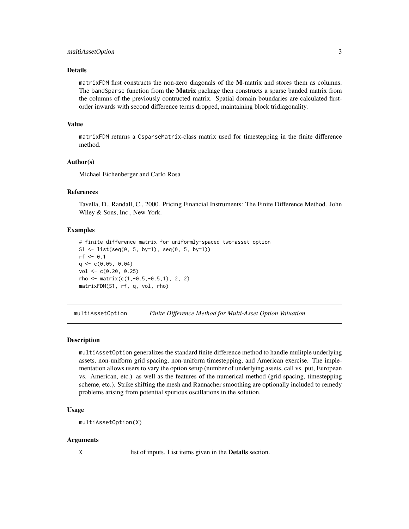#### <span id="page-2-0"></span>Details

matrixFDM first constructs the non-zero diagonals of the M-matrix and stores them as columns. The bandSparse function from the **Matrix** package then constructs a sparse banded matrix from the columns of the previously contructed matrix. Spatial domain boundaries are calculated firstorder inwards with second difference terms dropped, maintaining block tridiagonality.

#### Value

matrixFDM returns a CsparseMatrix-class matrix used for timestepping in the finite difference method.

#### Author(s)

Michael Eichenberger and Carlo Rosa

#### References

Tavella, D., Randall, C., 2000. Pricing Financial Instruments: The Finite Difference Method. John Wiley & Sons, Inc., New York.

#### Examples

```
# finite difference matrix for uniformly-spaced two-asset option
S1 <- list(seq(0, 5, by=1), seq(0, 5, by=1))
rf <- 0.1q \leq c(0.05, 0.04)vol <- c(0.20, 0.25)
rho <- matrix(c(1,-0.5,-0.5,1), 2, 2)
matrixFDM(S1, rf, q, vol, rho)
```
<span id="page-2-1"></span>multiAssetOption *Finite Difference Method for Multi-Asset Option Valuation*

#### Description

multiAssetOption generalizes the standard finite difference method to handle mulitple underlying assets, non-uniform grid spacing, non-uniform timestepping, and American exercise. The implementation allows users to vary the option setup (number of underlying assets, call vs. put, European vs. American, etc.) as well as the features of the numerical method (grid spacing, timestepping scheme, etc.). Strike shifting the mesh and Rannacher smoothing are optionally included to remedy problems arising from potential spurious oscillations in the solution.

#### Usage

```
multiAssetOption(X)
```
#### Arguments

X list of inputs. List items given in the **Details** section.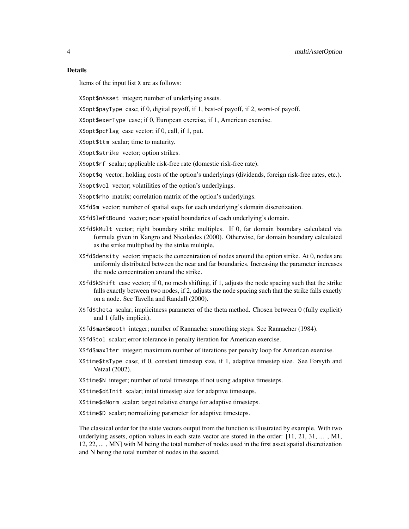Items of the input list X are as follows:

X\$opt\$nAsset integer; number of underlying assets.

X\$opt\$payType case; if 0, digital payoff, if 1, best-of payoff, if 2, worst-of payoff.

X\$opt\$exerType case; if 0, European exercise, if 1, American exercise.

X\$opt\$pcFlag case vector; if 0, call, if 1, put.

X\$opt\$ttm scalar; time to maturity.

X\$opt\$strike vector; option strikes.

X\$opt\$rf scalar; applicable risk-free rate (domestic risk-free rate).

X\$opt\$q vector; holding costs of the option's underlyings (dividends, foreign risk-free rates, etc.).

X\$opt\$vol vector; volatilities of the option's underlyings.

X\$opt\$rho matrix; correlation matrix of the option's underlyings.

X\$fd\$m vector; number of spatial steps for each underlying's domain discretization.

X\$fd\$leftBound vector; near spatial boundaries of each underlying's domain.

- X\$fd\$kMult vector; right boundary strike multiples. If 0, far domain boundary calculated via formula given in Kangro and Nicolaides (2000). Otherwise, far domain boundary calculated as the strike multiplied by the strike multiple.
- X\$fd\$density vector; impacts the concentration of nodes around the option strike. At 0, nodes are uniformly distributed between the near and far boundaries. Increasing the parameter increases the node concentration around the strike.
- X\$fd\$kShift case vector; if 0, no mesh shifting, if 1, adjusts the node spacing such that the strike falls exactly between two nodes, if 2, adjusts the node spacing such that the strike falls exactly on a node. See Tavella and Randall (2000).
- X\$fd\$theta scalar; implicitness parameter of the theta method. Chosen between 0 (fully explicit) and 1 (fully implicit).
- X\$fd\$maxSmooth integer; number of Rannacher smoothing steps. See Rannacher (1984).
- X\$fd\$tol scalar; error tolerance in penalty iteration for American exercise.
- X\$fd\$maxIter integer; maximum number of iterations per penalty loop for American exercise.
- X\$time\$tsType case; if 0, constant timestep size, if 1, adaptive timestep size. See Forsyth and Vetzal (2002).
- X\$time\$N integer; number of total timesteps if not using adaptive timesteps.
- X\$time\$dtInit scalar; inital timestep size for adaptive timesteps.
- X\$time\$dNorm scalar; target relative change for adaptive timesteps.

X\$time\$D scalar; normalizing parameter for adaptive timesteps.

The classical order for the state vectors output from the function is illustrated by example. With two underlying assets, option values in each state vector are stored in the order: [11, 21, 31, ... , M1, 12, 22, ... , MN] with M being the total number of nodes used in the first asset spatial discretization and N being the total number of nodes in the second.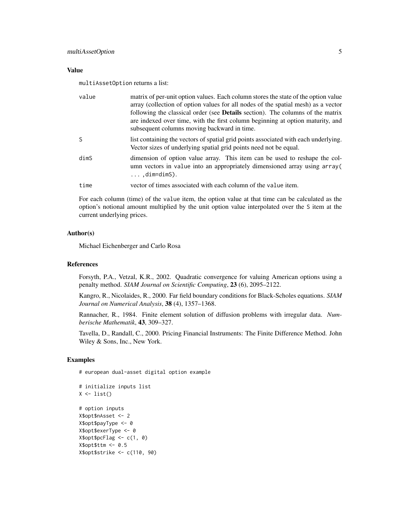#### Value

multiAssetOption returns a list:

| value | matrix of per-unit option values. Each column stores the state of the option value<br>array (collection of option values for all nodes of the spatial mesh) as a vector<br>following the classical order (see Details section). The columns of the matrix<br>are indexed over time, with the first column beginning at option maturity, and<br>subsequent columns moving backward in time. |
|-------|--------------------------------------------------------------------------------------------------------------------------------------------------------------------------------------------------------------------------------------------------------------------------------------------------------------------------------------------------------------------------------------------|
| S     | list containing the vectors of spatial grid points associated with each underlying.<br>Vector sizes of underlying spatial grid points need not be equal.                                                                                                                                                                                                                                   |
| dimS  | dimension of option value array. This item can be used to reshape the col-<br>umn vectors in value into an appropriately dimensioned array using array (<br>$\ldots$ .dim=dimS).                                                                                                                                                                                                           |
| time  | vector of times associated with each column of the value item.                                                                                                                                                                                                                                                                                                                             |

For each column (time) of the value item, the option value at that time can be calculated as the option's notional amount multiplied by the unit option value interpolated over the S item at the current underlying prices.

#### Author(s)

Michael Eichenberger and Carlo Rosa

#### References

Forsyth, P.A., Vetzal, K.R., 2002. Quadratic convergence for valuing American options using a penalty method. *SIAM Journal on Scientific Computing*, 23 (6), 2095–2122.

Kangro, R., Nicolaides, R., 2000. Far field boundary conditions for Black-Scholes equations. *SIAM Journal on Numerical Analysis*, 38 (4), 1357–1368.

Rannacher, R., 1984. Finite element solution of diffusion problems with irregular data. *Numberische Mathematik*, 43, 309–327.

Tavella, D., Randall, C., 2000. Pricing Financial Instruments: The Finite Difference Method. John Wiley & Sons, Inc., New York.

#### Examples

```
# european dual-asset digital option example
```

```
# initialize inputs list
X \leftarrow list()# option inputs
X$opt$nAsset <- 2
X$opt$payType <- 0
X$opt$exerType <- 0
X$opt$pcFlag <- c(1, 0)
X$opt$ttm < -0.5X$opt$strike <- c(110, 90)
```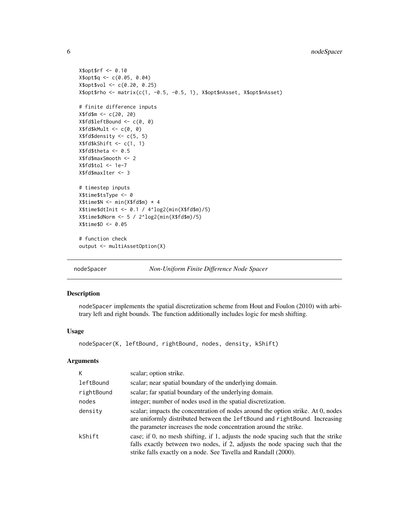#### <span id="page-5-0"></span>6 nodeSpacer

```
X$opt$rf <- 0.10
X$opt$q <- c(0.05, 0.04)
X$opt$vol <- c(0.20, 0.25)
X$opt$rho <- matrix(c(1, -0.5, -0.5, 1), X$opt$nAsset, X$opt$nAsset)
# finite difference inputs
X$fd$m <- c(20, 20)
X$fd$leftBound <- c(0, 0)
X$fd$kMult < -c(0, 0)X$fd$density < -c(5, 5)X$fd$kShift <- c(1, 1)
X$f d$theta < -0.5X$fd$maxSmooth <- 2
X$fd$tol <- 1e-7
X$fd$maxIter <- 3
# timestep inputs
X$time$tsType <- 0
X$time$N < - min(X$fd$m) * 4X$time$dtInit <- 0.1 / 4^log2(min(X$fd$m)/5)
X$time$dNorm <- 5 / 2^log2(min(X$fd$m)/5)
X$time$D <- 0.05
# function check
output <- multiAssetOption(X)
```

```
nodeSpacer Non-Uniform Finite Difference Node Spacer
```
#### Description

nodeSpacer implements the spatial discretization scheme from Hout and Foulon (2010) with arbitrary left and right bounds. The function additionally includes logic for mesh shifting.

#### Usage

nodeSpacer(K, leftBound, rightBound, nodes, density, kShift)

#### Arguments

| К          | scalar; option strike.                                                                                                                                                                                                                |
|------------|---------------------------------------------------------------------------------------------------------------------------------------------------------------------------------------------------------------------------------------|
| leftBound  | scalar; near spatial boundary of the underlying domain.                                                                                                                                                                               |
| rightBound | scalar; far spatial boundary of the underlying domain.                                                                                                                                                                                |
| nodes      | integer; number of nodes used in the spatial discretization.                                                                                                                                                                          |
| density    | scalar; impacts the concentration of nodes around the option strike. At 0, nodes<br>are uniformly distributed between the leftBound and rightBound. Increasing<br>the parameter increases the node concentration around the strike.   |
| kShift     | case; if 0, no mesh shifting, if 1, adjusts the node spacing such that the strike<br>falls exactly between two nodes, if 2, adjusts the node spacing such that the<br>strike falls exactly on a node. See Tavella and Randall (2000). |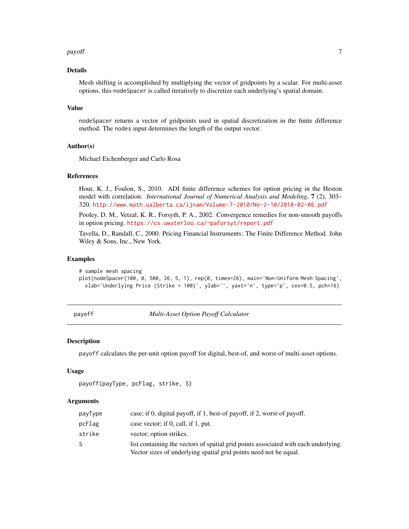#### <span id="page-6-0"></span>payoff **7**

#### Details

Mesh shifting is accomplished by multiplying the vector of gridpoints by a scalar. For multi-asset options, this nodeSpacer is called iteratively to discretize each underlying's spatial domain.

#### Value

nodeSpacer returns a vector of gridpoints used in spatial discretization in the finite difference method. The nodes input determines the length of the output vector.

#### Author(s)

Michael Eichenberger and Carlo Rosa

#### References

Hout, K. J., Foulon, S., 2010. ADI finite difference schemes for option pricing in the Heston model with correlation. *International Journal of Numerical Analysis and Modeling*, 7 (2), 303– 320. <http://www.math.ualberta.ca/ijnam/Volume-7-2010/No-2-10/2010-02-06.pdf>

Pooley, D. M., Vetzal, K. R., Forsyth, P. A., 2002. Convergence remedies for non-smooth payoffs in option pricing. <https://cs.uwaterloo.ca/~paforsyt/report.pdf>

Tavella, D., Randall, C., 2000. Pricing Financial Instruments: The Finite Difference Method. John Wiley & Sons, Inc., New York.

#### Examples

# sample mesh spacing

plot(nodeSpacer(100, 0, 500, 26, 5, 1), rep(0, times=26), main='Non-Uniform Mesh Spacing', xlab='Underlying Price (Strike = 100)', ylab='', yaxt='n', type='p', cex=0.5, pch=16)

payoff *Multi-Asset Option Payoff Calculator*

#### **Description**

payoff calculates the per-unit option payoff for digital, best-of, and worst-of multi-asset options.

#### Usage

```
payoff(payType, pcFlag, strike, S)
```
#### **Arguments**

| payType | case; if 0, digital payoff, if 1, best-of payoff, if 2, worst-of payoff.                                                                                 |
|---------|----------------------------------------------------------------------------------------------------------------------------------------------------------|
| pcFlag  | case vector; if $0$ , call, if $1$ , put.                                                                                                                |
| strike  | vector; option strikes.                                                                                                                                  |
| S.      | list containing the vectors of spatial grid points associated with each underlying.<br>Vector sizes of underlying spatial grid points need not be equal. |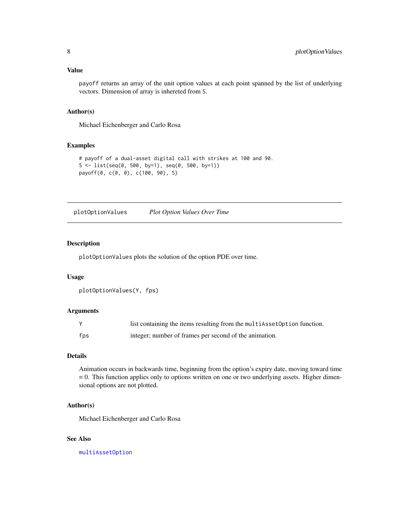#### <span id="page-7-0"></span>Value

payoff returns an array of the unit option values at each point spanned by the list of underlying vectors. Dimension of array is inhereted from S.

#### Author(s)

Michael Eichenberger and Carlo Rosa

#### Examples

```
# payoff of a dual-asset digital call with strikes at 100 and 90.
S \leftarrow list(seq(0, 500, by=1), seq(0, 500, by=1))payoff(0, c(0, 0), c(100, 90), S)
```
plotOptionValues *Plot Option Values Over Time*

#### Description

plotOptionValues plots the solution of the option PDE over time.

#### Usage

```
plotOptionValues(Y, fps)
```
#### Arguments

|     | list containing the items resulting from the multiAssetOption function. |
|-----|-------------------------------------------------------------------------|
| fps | integer; number of frames per second of the animation.                  |

#### Details

Animation occurs in backwards time, beginning from the option's expiry date, moving toward time = 0. This function applies only to options written on one or two underlying assets. Higher dimensional options are not plotted.

#### Author(s)

Michael Eichenberger and Carlo Rosa

#### See Also

[multiAssetOption](#page-2-1)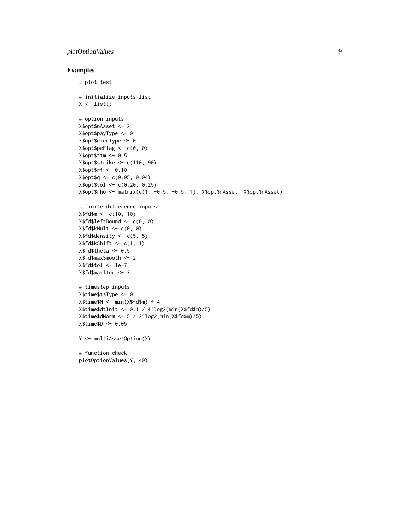#### plotOptionValues 9

#### Examples

```
# plot test
# initialize inputs list
X \leftarrow list()# option inputs
X$opt$nAsset <- 2
X$opt$payType <- 0
X$opt$exerType <- 0
X$opt$pcFlag <- c(0, 0)
X$opt$ttm < -0.5X$opt$strike <- c(110, 90)
X$opt$rf <- 0.10
X$opt$q <- c(0.05, 0.04)
X$opt$vol <- c(0.20, 0.25)
X$opt$rho <- matrix(c(1, -0.5, -0.5, 1), X$opt$nAsset, X$opt$nAsset)
# finite difference inputs
X$fd$m <- c(10, 10)
X$fd$leftBound <- c(0, 0)
X$fd$kMult < -c(0, 0)X$fd$density <- c(5, 5)X$fd$kShift < -c(1, 1)X$fd$theta < -0.5X$fd$maxSmooth <- 2
X$f d$tol < -1e-7X$fd$maxIter <- 3
# timestep inputs
X$time$tsType <- 0
X$time$N < - min(X$fd$m) * 4X$time$dtInit <- 0.1 / 4^log2(min(X$fd$m)/5)
X$time$dNorm <- 5 / 2^log2(min(X$fd$m)/5)
X$time$D <- 0.05
Y <- multiAssetOption(X)
# function check
```
plotOptionValues(Y, 40)